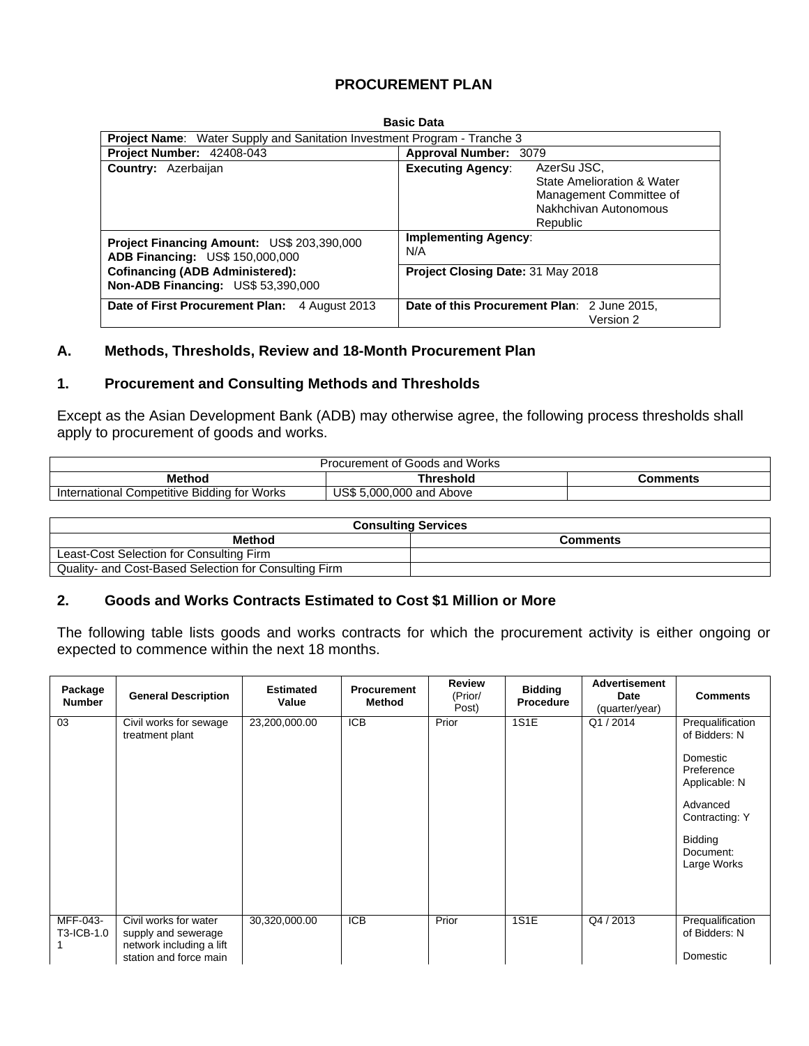## **PROCUREMENT PLAN**

| <b>Basic Data</b>                                                                           |                                                                                                                                       |  |  |  |  |  |  |  |  |
|---------------------------------------------------------------------------------------------|---------------------------------------------------------------------------------------------------------------------------------------|--|--|--|--|--|--|--|--|
| <b>Project Name:</b> Water Supply and Sanitation Investment Program - Tranche 3             |                                                                                                                                       |  |  |  |  |  |  |  |  |
| Project Number: 42408-043                                                                   | Approval Number: 3079                                                                                                                 |  |  |  |  |  |  |  |  |
| Country: Azerbaijan                                                                         | AzerSu JSC,<br><b>Executing Agency:</b><br>State Amelioration & Water<br>Management Committee of<br>Nakhchivan Autonomous<br>Republic |  |  |  |  |  |  |  |  |
| <b>Project Financing Amount: US\$ 203,390,000</b><br><b>ADB Financing: US\$ 150,000,000</b> | <b>Implementing Agency:</b><br>N/A                                                                                                    |  |  |  |  |  |  |  |  |
| <b>Cofinancing (ADB Administered):</b><br><b>Non-ADB Financing: US\$ 53,390,000</b>         | <b>Project Closing Date: 31 May 2018</b>                                                                                              |  |  |  |  |  |  |  |  |
| Date of First Procurement Plan:<br>4 August 2013                                            | Date of this Procurement Plan: 2 June 2015,<br>Version 2                                                                              |  |  |  |  |  |  |  |  |

### **A. Methods, Thresholds, Review and 18-Month Procurement Plan**

### **1. Procurement and Consulting Methods and Thresholds**

Except as the Asian Development Bank (ADB) may otherwise agree, the following process thresholds shall apply to procurement of goods and works.

| Procurement of Goods and Works              |                          |  |  |  |  |  |
|---------------------------------------------|--------------------------|--|--|--|--|--|
| <b>Method</b><br>Threshold<br>Comments      |                          |  |  |  |  |  |
| International Competitive Bidding for Works | US\$ 5,000,000 and Above |  |  |  |  |  |

| <b>Consulting Services</b>                            |                 |  |  |  |  |  |  |
|-------------------------------------------------------|-----------------|--|--|--|--|--|--|
| Method                                                | <b>Comments</b> |  |  |  |  |  |  |
| Least-Cost Selection for Consulting Firm              |                 |  |  |  |  |  |  |
| Quality- and Cost-Based Selection for Consulting Firm |                 |  |  |  |  |  |  |

### **2. Goods and Works Contracts Estimated to Cost \$1 Million or More**

The following table lists goods and works contracts for which the procurement activity is either ongoing or expected to commence within the next 18 months.

| Package<br><b>Number</b> | <b>General Description</b>                                                                         | <b>Estimated</b><br>Value | <b>Procurement</b><br>Method | <b>Review</b><br>(Prior/<br>Post) | <b>Bidding</b><br><b>Procedure</b> | <b>Advertisement</b><br>Date<br>(quarter/year) | <b>Comments</b>                                                                                                                                   |
|--------------------------|----------------------------------------------------------------------------------------------------|---------------------------|------------------------------|-----------------------------------|------------------------------------|------------------------------------------------|---------------------------------------------------------------------------------------------------------------------------------------------------|
| 03                       | Civil works for sewage<br>treatment plant                                                          | 23,200,000.00             | <b>ICB</b>                   | Prior                             | 1S1E                               | Q1/2014                                        | Prequalification<br>of Bidders: N<br>Domestic<br>Preference<br>Applicable: N<br>Advanced<br>Contracting: Y<br>Bidding<br>Document:<br>Large Works |
| MFF-043-<br>T3-ICB-1.0   | Civil works for water<br>supply and sewerage<br>network including a lift<br>station and force main | 30,320,000.00             | <b>ICB</b>                   | Prior                             | <b>1S1E</b>                        | Q4 / 2013                                      | Prequalification<br>of Bidders: N<br>Domestic                                                                                                     |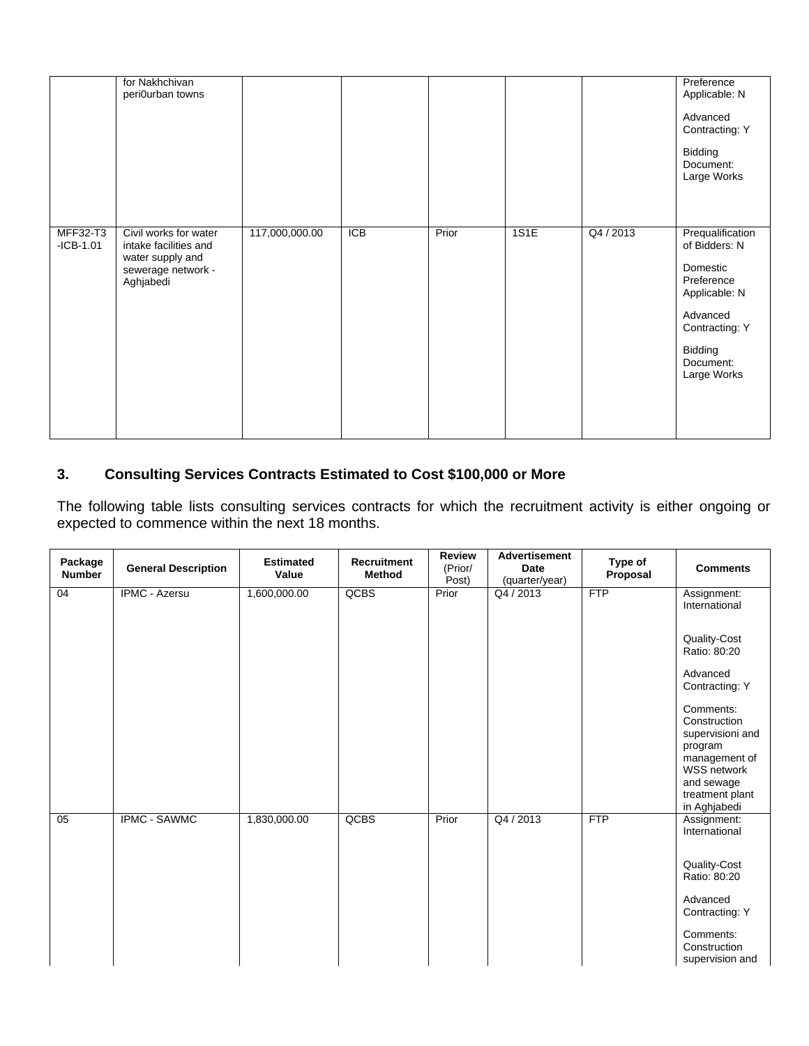|                                | for Nakhchivan<br>peri0urban towns                                                                    |                |            |       |      |           | Preference<br>Applicable: N<br>Advanced<br>Contracting: Y<br>Bidding<br>Document:<br>Large Works                                                  |
|--------------------------------|-------------------------------------------------------------------------------------------------------|----------------|------------|-------|------|-----------|---------------------------------------------------------------------------------------------------------------------------------------------------|
| <b>MFF32-T3</b><br>$-ICB-1.01$ | Civil works for water<br>intake facilities and<br>water supply and<br>sewerage network -<br>Aghjabedi | 117,000,000.00 | <b>ICB</b> | Prior | 1S1E | Q4 / 2013 | Prequalification<br>of Bidders: N<br>Domestic<br>Preference<br>Applicable: N<br>Advanced<br>Contracting: Y<br>Bidding<br>Document:<br>Large Works |

## **3. Consulting Services Contracts Estimated to Cost \$100,000 or More**

The following table lists consulting services contracts for which the recruitment activity is either ongoing or expected to commence within the next 18 months.

| Package<br><b>Number</b> | <b>General Description</b> | <b>Estimated</b><br>Value | <b>Recruitment</b><br><b>Method</b> | <b>Review</b><br>(Prior/<br>Post) | <b>Advertisement</b><br>Date<br>(quarter/year) | Type of<br>Proposal | <b>Comments</b>                                                                                                                                  |
|--------------------------|----------------------------|---------------------------|-------------------------------------|-----------------------------------|------------------------------------------------|---------------------|--------------------------------------------------------------------------------------------------------------------------------------------------|
| 04                       | <b>IPMC - Azersu</b>       | 1,600,000.00              | QCBS                                | Prior                             | Q4 / 2013                                      | <b>FTP</b>          | Assignment:<br>International                                                                                                                     |
|                          |                            |                           |                                     |                                   |                                                |                     | Quality-Cost<br>Ratio: 80:20                                                                                                                     |
|                          |                            |                           |                                     |                                   |                                                |                     | Advanced<br>Contracting: Y                                                                                                                       |
|                          |                            |                           |                                     |                                   |                                                |                     | Comments:<br>Construction<br>supervisioni and<br>program<br>management of<br><b>WSS network</b><br>and sewage<br>treatment plant<br>in Aghjabedi |
| 05                       | <b>IPMC - SAWMC</b>        | 1,830,000.00              | QCBS                                | Prior                             | Q4 / 2013                                      | FTP                 | Assignment:<br>International<br>Quality-Cost<br>Ratio: 80:20                                                                                     |
|                          |                            |                           |                                     |                                   |                                                |                     | Advanced<br>Contracting: Y                                                                                                                       |
|                          |                            |                           |                                     |                                   |                                                |                     | Comments:<br>Construction<br>supervision and                                                                                                     |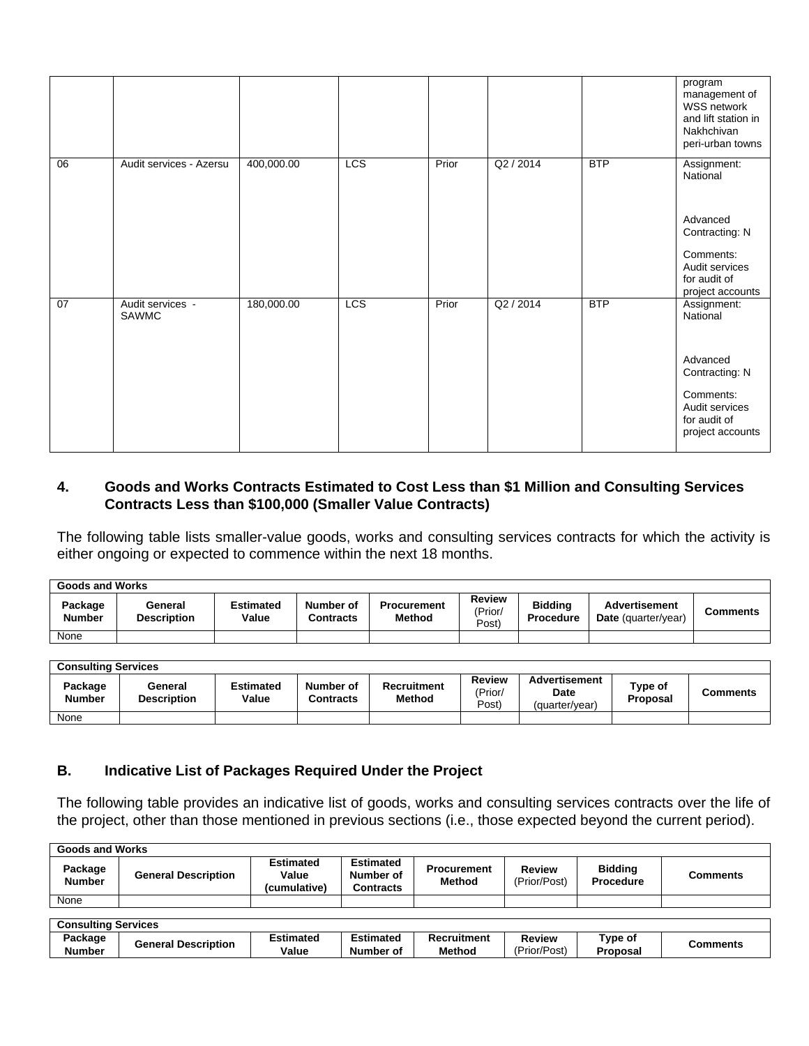|    |                           |            |     |       |           |            | program<br>management of<br>WSS network<br>and lift station in<br>Nakhchivan<br>peri-urban towns                         |
|----|---------------------------|------------|-----|-------|-----------|------------|--------------------------------------------------------------------------------------------------------------------------|
| 06 | Audit services - Azersu   | 400,000.00 | LCS | Prior | Q2 / 2014 | <b>BTP</b> | Assignment:<br>National<br>Advanced<br>Contracting: N<br>Comments:<br>Audit services<br>for audit of<br>project accounts |
| 07 | Audit services -<br>SAWMC | 180,000.00 | LCS | Prior | Q2 / 2014 | <b>BTP</b> | Assignment:<br>National<br>Advanced<br>Contracting: N<br>Comments:<br>Audit services<br>for audit of<br>project accounts |

### **4. Goods and Works Contracts Estimated to Cost Less than \$1 Million and Consulting Services Contracts Less than \$100,000 (Smaller Value Contracts)**

The following table lists smaller-value goods, works and consulting services contracts for which the activity is either ongoing or expected to commence within the next 18 months.

| <b>Goods and Works</b>   |                               |                           |                               |                              |                            |                                    |                                             |          |  |  |
|--------------------------|-------------------------------|---------------------------|-------------------------------|------------------------------|----------------------------|------------------------------------|---------------------------------------------|----------|--|--|
| Package<br><b>Number</b> | General<br><b>Description</b> | <b>Estimated</b><br>Value | Number of<br><b>Contracts</b> | <b>Procurement</b><br>Method | Review<br>(Prior/<br>(Post | <b>Biddina</b><br><b>Procedure</b> | <b>Advertisement</b><br>Date (quarter/year) | Comments |  |  |
| None                     |                               |                           |                               |                              |                            |                                    |                                             |          |  |  |

| <b>Consulting Services</b> |                               |                           |                        |                       |                            |                                                |                     |                 |  |  |
|----------------------------|-------------------------------|---------------------------|------------------------|-----------------------|----------------------------|------------------------------------------------|---------------------|-----------------|--|--|
| Package<br>Number          | General<br><b>Description</b> | <b>Estimated</b><br>Value | Number of<br>Contracts | Recruitment<br>Method | Review<br>(Prior/<br>Post) | <b>Advertisement</b><br>Date<br>'quarter/year) | Type of<br>Proposal | <b>Comments</b> |  |  |
| None                       |                               |                           |                        |                       |                            |                                                |                     |                 |  |  |

### **B. Indicative List of Packages Required Under the Project**

The following table provides an indicative list of goods, works and consulting services contracts over the life of the project, other than those mentioned in previous sections (i.e., those expected beyond the current period).

| Goods and Works            |                            |                                           |                                                   |                                     |                               |                                    |                 |
|----------------------------|----------------------------|-------------------------------------------|---------------------------------------------------|-------------------------------------|-------------------------------|------------------------------------|-----------------|
| Package<br><b>Number</b>   | <b>General Description</b> | <b>Estimated</b><br>Value<br>(cumulative) | <b>Estimated</b><br>Number of<br><b>Contracts</b> | <b>Procurement</b><br><b>Method</b> | Review<br>(Prior/Post)        | <b>Bidding</b><br><b>Procedure</b> | <b>Comments</b> |
| None                       |                            |                                           |                                                   |                                     |                               |                                    |                 |
|                            |                            |                                           |                                                   |                                     |                               |                                    |                 |
| <b>Consulting Services</b> |                            |                                           |                                                   |                                     |                               |                                    |                 |
| Package<br><b>Number</b>   | <b>General Description</b> | <b>Estimated</b><br>Value                 | <b>Estimated</b><br>Number of                     | <b>Recruitment</b><br><b>Method</b> | <b>Review</b><br>(Prior/Post) | Type of<br>Proposal                | <b>Comments</b> |